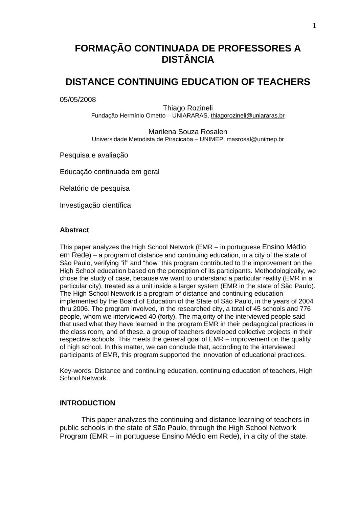# **FORMAÇÃO CONTINUADA DE PROFESSORES A DISTÂNCIA**

## **DISTANCE CONTINUING EDUCATION OF TEACHERS**

05/05/2008

Thiago Rozineli Fundação Hermínio Ometto – UNIARARAS, thiagorozineli@uniararas.br

Marilena Souza Rosalen Universidade Metodista de Piracicaba – UNIMEP, masrosal@unimep.br

Pesquisa e avaliação

Educação continuada em geral

Relatório de pesquisa

Investigação científica

#### **Abstract**

This paper analyzes the High School Network (EMR – in portuguese Ensino Médio em Rede) – a program of distance and continuing education, in a city of the state of São Paulo, verifying "if" and "how" this program contributed to the improvement on the High School education based on the perception of its participants. Methodologically, we chose the study of case, because we want to understand a particular reality (EMR in a particular city), treated as a unit inside a larger system (EMR in the state of São Paulo). The High School Network is a program of distance and continuing education implemented by the Board of Education of the State of São Paulo, in the years of 2004 thru 2006. The program involved, in the researched city, a total of 45 schools and 776 people, whom we interviewed 40 (forty). The majority of the interviewed people said that used what they have learned in the program EMR in their pedagogical practices in the class room, and of these, a group of teachers developed collective projects in their respective schools. This meets the general goal of EMR – improvement on the quality of high school. In this matter, we can conclude that, according to the interviewed participants of EMR, this program supported the innovation of educational practices.

Key-words: Distance and continuing education, continuing education of teachers, High School Network.

#### **INTRODUCTION**

This paper analyzes the continuing and distance learning of teachers in public schools in the state of São Paulo, through the High School Network Program (EMR – in portuguese Ensino Médio em Rede), in a city of the state.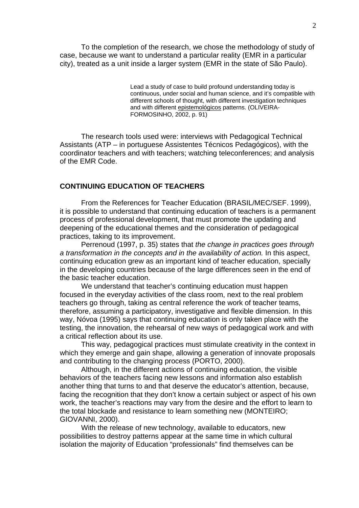To the completion of the research, we chose the methodology of study of case, because we want to understand a particular reality (EMR in a particular city), treated as a unit inside a larger system (EMR in the state of São Paulo).

> Lead a study of case to build profound understanding today is continuous, under social and human science, and it's compatible with different schools of thought, with different investigation techniques and with different epistemológicos patterns. (OLIVEIRA-FORMOSINHO, 2002, p. 91)

The research tools used were: interviews with Pedagogical Technical Assistants (ATP – in portuguese Assistentes Técnicos Pedagógicos), with the coordinator teachers and with teachers; watching teleconferences; and analysis of the EMR Code.

#### **CONTINUING EDUCATION OF TEACHERS**

From the References for Teacher Education (BRASIL/MEC/SEF. 1999), it is possible to understand that continuing education of teachers is a permanent process of professional development, that must promote the updating and deepening of the educational themes and the consideration of pedagogical practices, taking to its improvement.

Perrenoud (1997, p. 35) states that *the change in practices goes through a transformation in the concepts and in the availability of action.* In this aspect, continuing education grew as an important kind of teacher education, specially in the developing countries because of the large differences seen in the end of the basic teacher education.

We understand that teacher's continuing education must happen focused in the everyday activities of the class room, next to the real problem teachers go through, taking as central reference the work of teacher teams, therefore, assuming a participatory, investigative and flexible dimension. In this way, Nóvoa (1995) says that continuing education is only taken place with the testing, the innovation, the rehearsal of new ways of pedagogical work and with a critical reflection about its use.

This way, pedagogical practices must stimulate creativity in the context in which they emerge and gain shape, allowing a generation of innovate proposals and contributing to the changing process (PORTO, 2000).

 Although, in the different actions of continuing education, the visible behaviors of the teachers facing new lessons and information also establish another thing that turns to and that deserve the educator's attention, because, facing the recognition that they don't know a certain subject or aspect of his own work, the teacher's reactions may vary from the desire and the effort to learn to the total blockade and resistance to learn something new (MONTEIRO; GIOVANNI, 2000).

With the release of new technology, available to educators, new possibilities to destroy patterns appear at the same time in which cultural isolation the majority of Education "professionals" find themselves can be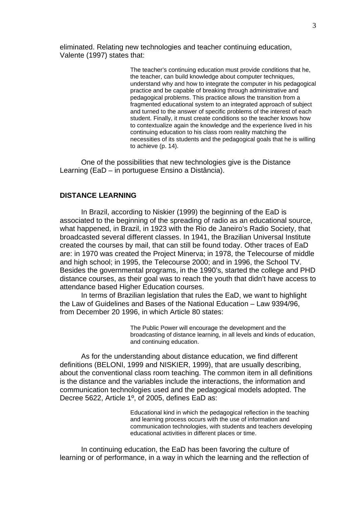eliminated. Relating new technologies and teacher continuing education, Valente (1997) states that:

> The teacher's continuing education must provide conditions that he, the teacher, can build knowledge about computer techniques, understand why and how to integrate the computer in his pedagogical practice and be capable of breaking through administrative and pedagogical problems. This practice allows the transition from a fragmented educational system to an integrated approach of subject and turned to the answer of specific problems of the interest of each student. Finally, it must create conditions so the teacher knows how to contextualize again the knowledge and the experience lived in his continuing education to his class room reality matching the necessities of its students and the pedagogical goals that he is willing to achieve (p. 14).

 One of the possibilities that new technologies give is the Distance Learning (EaD – in portuguese Ensino a Distância).

#### **DISTANCE LEARNING**

 In Brazil, according to Niskier (1999) the beginning of the EaD is associated to the beginning of the spreading of radio as an educational source, what happened, in Brazil, in 1923 with the Rio de Janeiro's Radio Society, that broadcasted several different classes. In 1941, the Brazilian Universal Institute created the courses by mail, that can still be found today. Other traces of EaD are: in 1970 was created the Project Minerva; in 1978, the Telecourse of middle and high school; in 1995, the Telecourse 2000; and in 1996, the School TV. Besides the governmental programs, in the 1990's, started the college and PHD distance courses, as their goal was to reach the youth that didn't have access to attendance based Higher Education courses.

In terms of Brazilian legislation that rules the EaD, we want to highlight the Law of Guidelines and Bases of the National Education – Law 9394/96, from December 20 1996, in which Article 80 states:

> The Public Power will encourage the development and the broadcasting of distance learning, in all levels and kinds of education, and continuing education.

 As for the understanding about distance education, we find different definitions (BELONI, 1999 and NISKIER, 1999), that are usually describing, about the conventional class room teaching. The common item in all definitions is the distance and the variables include the interactions, the information and communication technologies used and the pedagogical models adopted. The Decree 5622, Article 1º, of 2005, defines EaD as:

> Educational kind in which the pedagogical reflection in the teaching and learning process occurs with the use of information and communication technologies, with students and teachers developing educational activities in different places or time.

 In continuing education, the EaD has been favoring the culture of learning or of performance, in a way in which the learning and the reflection of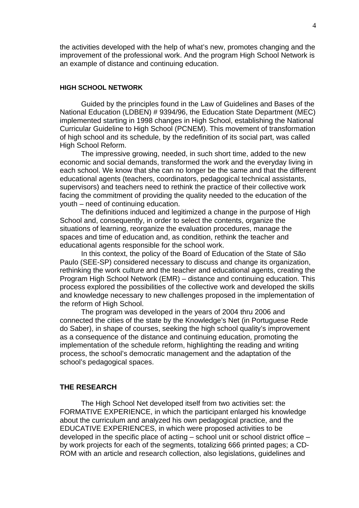the activities developed with the help of what's new, promotes changing and the improvement of the professional work. And the program High School Network is an example of distance and continuing education.

#### **HIGH SCHOOL NETWORK**

 Guided by the principles found in the Law of Guidelines and Bases of the National Education (LDBEN) # 9394/96, the Education State Department (MEC) implemented starting in 1998 changes in High School, establishing the National Curricular Guideline to High School (PCNEM). This movement of transformation of high school and its schedule, by the redefinition of its social part, was called High School Reform.

The impressive growing, needed, in such short time, added to the new economic and social demands, transformed the work and the everyday living in each school. We know that she can no longer be the same and that the different educational agents (teachers, coordinators, pedagogical technical assistants, supervisors) and teachers need to rethink the practice of their collective work facing the commitment of providing the quality needed to the education of the youth – need of continuing education.

 The definitions induced and legitimized a change in the purpose of High School and, consequently, in order to select the contents, organize the situations of learning, reorganize the evaluation procedures, manage the spaces and time of education and, as condition, rethink the teacher and educational agents responsible for the school work.

 In this context, the policy of the Board of Education of the State of São Paulo (SEE-SP) considered necessary to discuss and change its organization, rethinking the work culture and the teacher and educational agents, creating the Program High School Network (EMR) – distance and continuing education. This process explored the possibilities of the collective work and developed the skills and knowledge necessary to new challenges proposed in the implementation of the reform of High School.

 The program was developed in the years of 2004 thru 2006 and connected the cities of the state by the Knowledge's Net (in Portuguese Rede do Saber), in shape of courses, seeking the high school quality's improvement as a consequence of the distance and continuing education, promoting the implementation of the schedule reform, highlighting the reading and writing process, the school's democratic management and the adaptation of the school's pedagogical spaces.

### **THE RESEARCH**

 The High School Net developed itself from two activities set: the FORMATIVE EXPERIENCE, in which the participant enlarged his knowledge about the curriculum and analyzed his own pedagogical practice, and the EDUCATIVE EXPERIENCES, in which were proposed activities to be developed in the specific place of acting – school unit or school district office – by work projects for each of the segments, totalizing 666 printed pages; a CD-ROM with an article and research collection, also legislations, guidelines and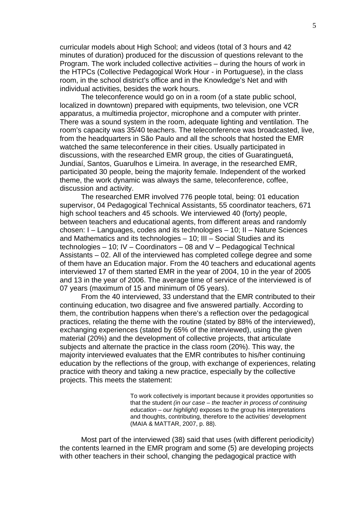curricular models about High School; and videos (total of 3 hours and 42 minutes of duration) produced for the discussion of questions relevant to the Program. The work included collective activities – during the hours of work in the HTPCs (Collective Pedagogical Work Hour - in Portuguese), in the class room, in the school district's office and in the Knowledge's Net and with individual activities, besides the work hours.

 The teleconference would go on in a room (of a state public school, localized in downtown) prepared with equipments, two television, one VCR apparatus, a multimedia projector, microphone and a computer with printer. There was a sound system in the room, adequate lighting and ventilation. The room's capacity was 35/40 teachers. The teleconference was broadcasted, live, from the headquarters in São Paulo and all the schools that hosted the EMR watched the same teleconference in their cities. Usually participated in discussions, with the researched EMR group, the cities of Guaratinguetá, Jundiaí, Santos, Guarulhos e Limeira. In average, in the researched EMR, participated 30 people, being the majority female. Independent of the worked theme, the work dynamic was always the same, teleconference, coffee, discussion and activity.

 The researched EMR involved 776 people total, being: 01 education supervisor, 04 Pedagogical Technical Assistants, 55 coordinator teachers, 671 high school teachers and 45 schools. We interviewed 40 (forty) people, between teachers and educational agents, from different areas and randomly chosen: I – Languages, codes and its technologies – 10; II – Nature Sciences and Mathematics and its technologies – 10; III – Social Studies and its technologies – 10; IV – Coordinators – 08 and V – Pedagogical Technical Assistants – 02. All of the interviewed has completed college degree and some of them have an Education major. From the 40 teachers and educational agents interviewed 17 of them started EMR in the year of 2004, 10 in the year of 2005 and 13 in the year of 2006. The average time of service of the interviewed is of 07 years (maximum of 15 and minimum of 05 years).

 From the 40 interviewed, 33 understand that the EMR contributed to their continuing education, two disagree and five answered partially. According to them, the contribution happens when there's a reflection over the pedagogical practices, relating the theme with the routine (stated by 88% of the interviewed), exchanging experiences (stated by 65% of the interviewed), using the given material (20%) and the development of collective projects, that articulate subjects and alternate the practice in the class room (20%). This way, the majority interviewed evaluates that the EMR contributes to his/her continuing education by the reflections of the group, with exchange of experiences, relating practice with theory and taking a new practice, especially by the collective projects. This meets the statement:

> To work collectively is important because it provides opportunities so that the student *(in our case – the teacher in process of continuing education – our highlight)* exposes to the group his interpretations and thoughts, contributing, therefore to the activities' development (MAIA & MATTAR, 2007, p. 88).

 Most part of the interviewed (38) said that uses (with different periodicity) the contents learned in the EMR program and some (5) are developing projects with other teachers in their school, changing the pedagogical practice with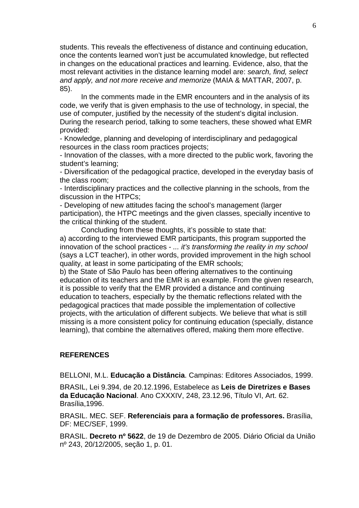students. This reveals the effectiveness of distance and continuing education, once the contents learned won't just be accumulated knowledge, but reflected in changes on the educational practices and learning. Evidence, also, that the most relevant activities in the distance learning model are: *search, find, select and apply, and not more receive and memorize* (MAIA & MATTAR, 2007, p. 85).

 In the comments made in the EMR encounters and in the analysis of its code, we verify that is given emphasis to the use of technology, in special, the use of computer, justified by the necessity of the student's digital inclusion. During the research period, talking to some teachers, these showed what EMR provided:

- Knowledge, planning and developing of interdisciplinary and pedagogical resources in the class room practices projects;

- Innovation of the classes, with a more directed to the public work, favoring the student's learning;

- Diversification of the pedagogical practice, developed in the everyday basis of the class room;

- Interdisciplinary practices and the collective planning in the schools, from the discussion in the HTPCs;

- Developing of new attitudes facing the school's management (larger participation), the HTPC meetings and the given classes, specially incentive to the critical thinking of the student.

 Concluding from these thoughts, it's possible to state that: a) according to the interviewed EMR participants, this program supported the innovation of the school practices - *... it's transforming the reality in my school*  (says a LCT teacher), in other words, provided improvement in the high school quality, at least in some participating of the EMR schools;

b) the State of São Paulo has been offering alternatives to the continuing education of its teachers and the EMR is an example. From the given research, it is possible to verify that the EMR provided a distance and continuing education to teachers, especially by the thematic reflections related with the pedagogical practices that made possible the implementation of collective projects, with the articulation of different subjects. We believe that what is still missing is a more consistent policy for continuing education (specially, distance learning), that combine the alternatives offered, making them more effective.

### **REFERENCES**

BELLONI, M.L. **Educação a Distância**. Campinas: Editores Associados, 1999.

BRASIL, Lei 9.394, de 20.12.1996, Estabelece as **Leis de Diretrizes e Bases da Educação Nacional**. Ano CXXXIV, 248, 23.12.96, Título VI, Art. 62. Brasília,1996.

BRASIL. MEC. SEF. **Referenciais para a formação de professores.** Brasília, DF: MEC/SEF, 1999.

BRASIL. **Decreto nº 5622**, de 19 de Dezembro de 2005. Diário Oficial da União nº 243, 20/12/2005, seção 1, p. 01.